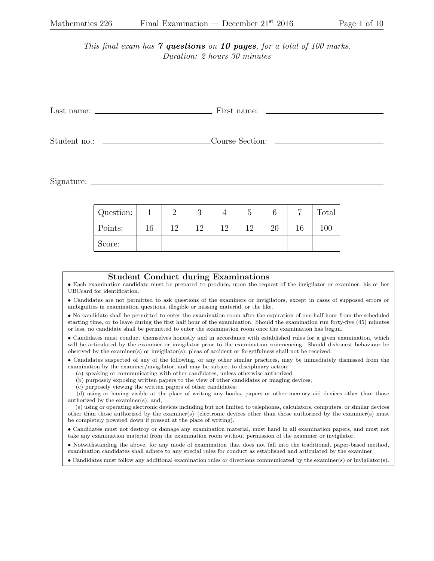This final exam has  $\gamma$  questions on 10 pages, for a total of 100 marks. Duration: 2 hours 30 minutes

| Last name: $\frac{1}{\sqrt{1-\frac{1}{2}} \cdot \frac{1}{2}}$ | First name:     |  |  |  |  |
|---------------------------------------------------------------|-----------------|--|--|--|--|
|                                                               |                 |  |  |  |  |
| Student no.:                                                  | Course Section: |  |  |  |  |

Signature:

| Question: |    |     |     |     |                 |    |    | Total |
|-----------|----|-----|-----|-----|-----------------|----|----|-------|
| Points:   | 16 | 1 ດ | 1 ດ | 1 ດ | 19 <sup>°</sup> | 20 | 16 | 100   |
| Score:    |    |     |     |     |                 |    |    |       |

## Student Conduct during Examinations

• Each examination candidate must be prepared to produce, upon the request of the invigilator or examiner, his or her UBCcard for identification.

• Candidates are not permitted to ask questions of the examiners or invigilators, except in cases of supposed errors or ambiguities in examination questions, illegible or missing material, or the like.

• No candidate shall be permitted to enter the examination room after the expiration of one-half hour from the scheduled starting time, or to leave during the first half hour of the examination. Should the examination run forty-five (45) minutes or less, no candidate shall be permitted to enter the examination room once the examination has begun.

• Candidates must conduct themselves honestly and in accordance with established rules for a given examination, which will be articulated by the examiner or invigilator prior to the examination commencing. Should dishonest behaviour be observed by the examiner(s) or invigilator(s), pleas of accident or forgetfulness shall not be received.

• Candidates suspected of any of the following, or any other similar practices, may be immediately dismissed from the examination by the examiner/invigilator, and may be subject to disciplinary action:

(a) speaking or communicating with other candidates, unless otherwise authorized;

(b) purposely exposing written papers to the view of other candidates or imaging devices;

(c) purposely viewing the written papers of other candidates;

(d) using or having visible at the place of writing any books, papers or other memory aid devices other than those authorized by the examiner(s); and,

(e) using or operating electronic devices including but not limited to telephones, calculators, computers, or similar devices other than those authorized by the examiner(s)–(electronic devices other than those authorized by the examiner(s) must be completely powered down if present at the place of writing).

• Candidates must not destroy or damage any examination material, must hand in all examination papers, and must not take any examination material from the examination room without permission of the examiner or invigilator.

• Notwithstanding the above, for any mode of examination that does not fall into the traditional, paper-based method, examination candidates shall adhere to any special rules for conduct as established and articulated by the examiner.

• Candidates must follow any additional examination rules or directions communicated by the examiner(s) or invigilator(s).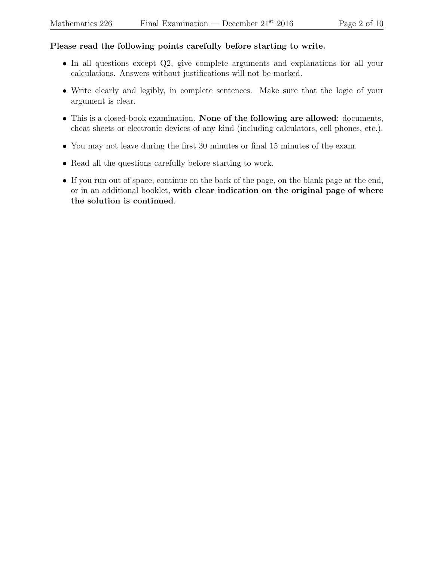## Please read the following points carefully before starting to write.

- In all questions except Q2, give complete arguments and explanations for all your calculations. Answers without justifications will not be marked.
- Write clearly and legibly, in complete sentences. Make sure that the logic of your argument is clear.
- This is a closed-book examination. None of the following are allowed: documents, cheat sheets or electronic devices of any kind (including calculators, cell phones, etc.).
- You may not leave during the first 30 minutes or final 15 minutes of the exam.
- Read all the questions carefully before starting to work.
- If you run out of space, continue on the back of the page, on the blank page at the end, or in an additional booklet, with clear indication on the original page of where the solution is continued.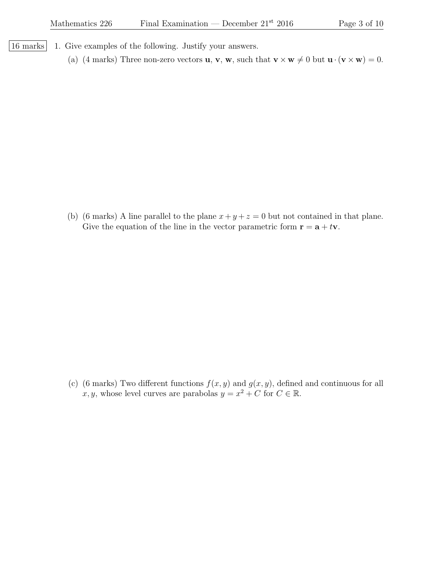| 16 marks | 1. Give examples of the following. Justify your answers.

(a) (4 marks) Three non-zero vectors **u**, **v**, **w**, such that  $\mathbf{v} \times \mathbf{w} \neq 0$  but  $\mathbf{u} \cdot (\mathbf{v} \times \mathbf{w}) = 0$ .

(b) (6 marks) A line parallel to the plane  $x + y + z = 0$  but not contained in that plane. Give the equation of the line in the vector parametric form  $\mathbf{r} = \mathbf{a} + t\mathbf{v}$ .

(c) (6 marks) Two different functions  $f(x, y)$  and  $g(x, y)$ , defined and continuous for all x, y, whose level curves are parabolas  $y = x^2 + C$  for  $C \in \mathbb{R}$ .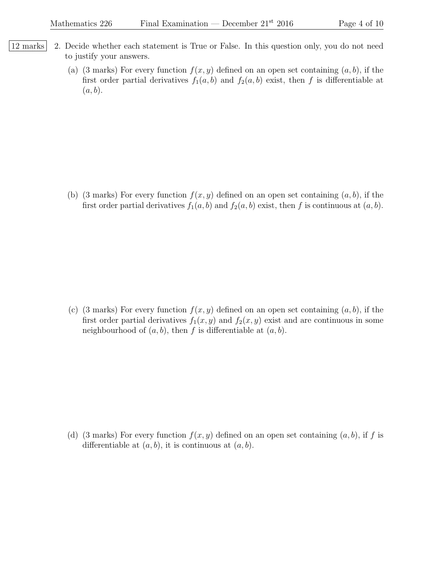- 12 marks 2. Decide whether each statement is True or False. In this question only, you do not need to justify your answers.
	- (a) (3 marks) For every function  $f(x, y)$  defined on an open set containing  $(a, b)$ , if the first order partial derivatives  $f_1(a, b)$  and  $f_2(a, b)$  exist, then f is differentiable at  $(a, b).$

(b) (3 marks) For every function  $f(x, y)$  defined on an open set containing  $(a, b)$ , if the first order partial derivatives  $f_1(a, b)$  and  $f_2(a, b)$  exist, then f is continuous at  $(a, b)$ .

(c) (3 marks) For every function  $f(x, y)$  defined on an open set containing  $(a, b)$ , if the first order partial derivatives  $f_1(x, y)$  and  $f_2(x, y)$  exist and are continuous in some neighbourhood of  $(a, b)$ , then f is differentiable at  $(a, b)$ .

(d) (3 marks) For every function  $f(x, y)$  defined on an open set containing  $(a, b)$ , if f is differentiable at  $(a, b)$ , it is continuous at  $(a, b)$ .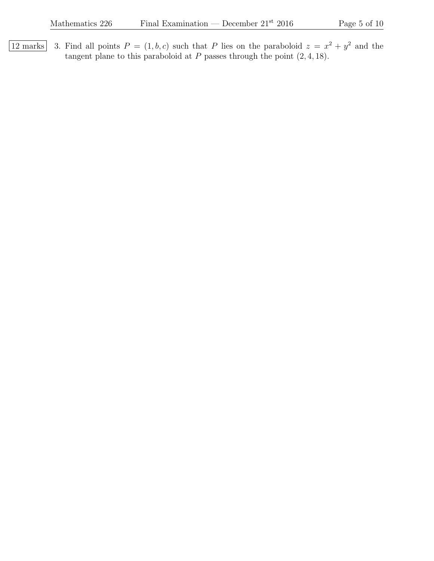12 marks 3. Find all points  $P = (1, b, c)$  such that P lies on the paraboloid  $z = x^2 + y^2$  and the tangent plane to this paraboloid at  $P$  passes through the point  $(2, 4, 18)$ .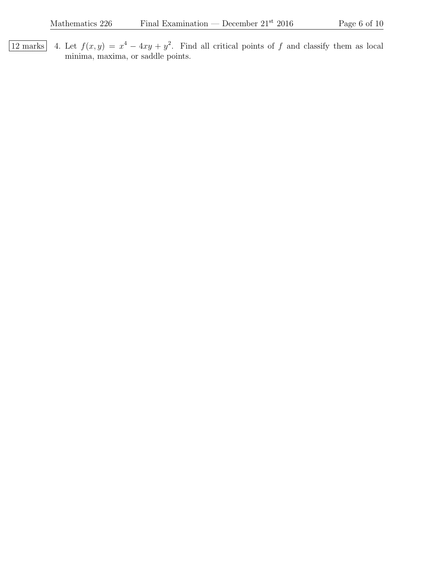12 marks 4. Let  $f(x,y) = x^4 - 4xy + y^2$ . Find all critical points of f and classify them as local minima, maxima, or saddle points.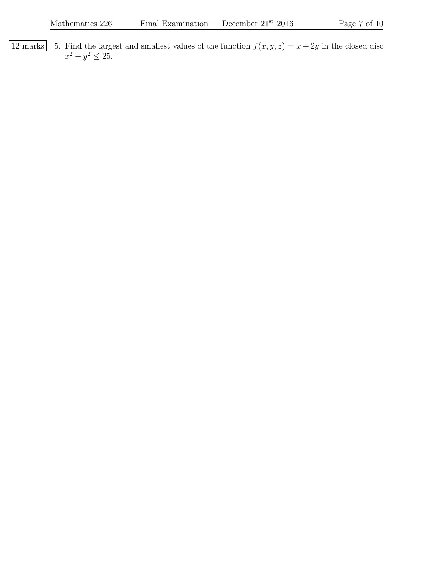12 marks 5. Find the largest and smallest values of the function  $f(x, y, z) = x + 2y$  in the closed disc  $x^2 + y^2 \le 25$ .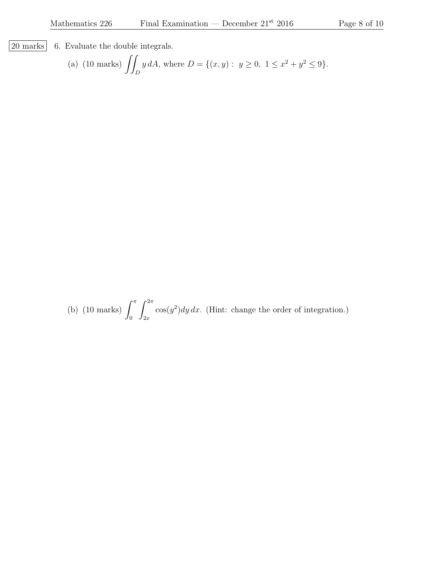$\lfloor 20 \text{ marks} \rfloor$  6. Evaluate the double integrals.

(a) (10 marks) 
$$
\iint_D y dA
$$
, where  $D = \{(x, y) : y \ge 0, 1 \le x^2 + y^2 \le 9\}$ .

(b) (10 marks)  $\int^{\pi}$ 0  $\int^{2\pi}$  $_{2x}$  $cos(y^2)dy dx$ . (Hint: change the order of integration.)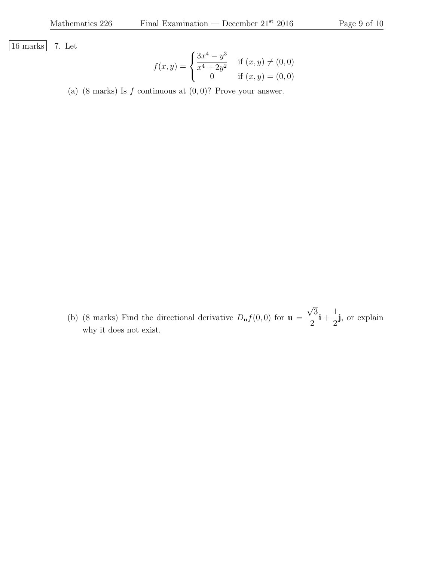16 marks 7. Let

$$
f(x,y) = \begin{cases} \frac{3x^4 - y^3}{x^4 + 2y^2} & \text{if } (x,y) \neq (0,0) \\ 0 & \text{if } (x,y) = (0,0) \end{cases}
$$

(a) (8 marks) Is  $f$  continuous at  $(0, 0)$ ? Prove your answer.

(b) (8 marks) Find the directional derivative  $D_{\mathbf{u}}f(0,0)$  for  $\mathbf{u} =$ 3 2  $\mathrm{i}$  + 1 2 j, or explain why it does not exist.

√